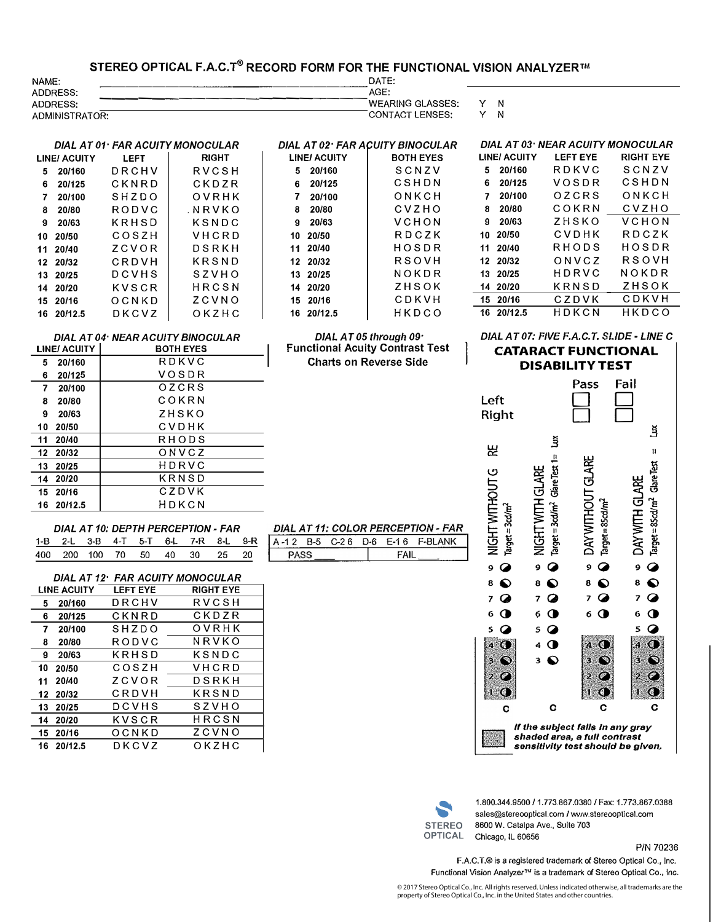## **STEREO OPTICAL F.A.c:r® RECORD FORM FOR THE FUNCTIONAL VISION ANALYZER"'**

| NAME:           | DATE:                   |   |
|-----------------|-------------------------|---|
| ADDRESS:        | AGE:                    |   |
| <b>ADDRESS:</b> | <b>WEARING GLASSES:</b> | N |
| ADMINISTRATOR:  | CONTACT LENSES:         | N |

 $\overline{\phantom{a}}$ 

|                     | DIAL AT 02 · FAR ACUITY BINOCULAR |
|---------------------|-----------------------------------|
| <b>LINE/ ACUITY</b> | <b>BOTH EYES</b>                  |
| 20/160<br>5.        | SCNZV                             |
| 6 20/125            | CSHDN                             |
| 7 20/100            | ONKCH                             |
| $8 - 20/80$         | <b>CVZHO</b>                      |
| $9 \quad 20/63$     | VCHON                             |
| 10 20/50            | RDCZK                             |
| 11 20/40            | HOSDR                             |
| 12 20/32            | RSOVH                             |
| 13 20/25            | NOKDR                             |
| 14 20/20            | ZHSOK                             |
| 15 20/16            | CDKVH                             |

|                    | DIAL AT 03: NEAR ACUITY MONOCULAR |           |
|--------------------|-----------------------------------|-----------|
| <b>LINE/ACUITY</b> | <b>LEFT EYE</b>                   | RIGHT EYE |
| 20/160<br>5.       | RDKVC                             | SCNZV     |
| 6<br>20/125        | VOSDR                             | CSHDN     |
| 20/100<br>7        | OZCRS                             | ONKCH     |
| 20/80<br>8         | COKRN                             | CVZHO     |
| 20/63<br>g.        | 7 H S K O                         | VCHON     |
| 10 20/50           | C.V.D.H.K                         | R D C Z K |
| 11 20/40           | RHODS                             | HOSDR     |
| 12 20/32           | ONVCZ                             | RSOVH     |
| 13 20/25           | HDRVC                             | NOKDR     |
| 14 20/20           | KRNSD                             | ZHSOK     |
| 15 20/16           | CZDVK                             | CDKVH     |
| 16 20/12.5         | H D K C N                         | HKDCO     |

|     | DIAL AT 04: NEAR ACUITY BINOCULAR |                  |  |  |  |  |
|-----|-----------------------------------|------------------|--|--|--|--|
|     | LINE/ ACUITY                      | <b>BOTH EYES</b> |  |  |  |  |
| 5.  | 20/160                            | RDKVC            |  |  |  |  |
| 6   | 20/125                            | VOSDR            |  |  |  |  |
|     | 7 20/100                          | OZCRS            |  |  |  |  |
| 8   | 20/80                             | COKRN            |  |  |  |  |
| 9   | 20/63                             | ZHSKO            |  |  |  |  |
| 10. | 20/50                             | CVDHK            |  |  |  |  |
|     | 11 20/40                          | RHODS            |  |  |  |  |
|     | 12 20/32                          | ONVCZ            |  |  |  |  |
|     | 13 20/25                          | HDRVC            |  |  |  |  |
|     | 14 20/20                          | KRNSD            |  |  |  |  |
|     | 15 20/16                          | CZDVK            |  |  |  |  |
|     | 16 20/12.5                        | HDKCN            |  |  |  |  |

*DIAL AT 01* · *FAR ACUITY MONOCULAR*  LINE/ ACUITY LEFT | RIGHT **5 201160** DRCHV RVCSH **6 201125** CKNRD CKDZR **7 20/100** SHZDO OVRHK **8 20/80** RODVC .NRVKO

**10 20/50** COSZH VHCRD **11 20/40** ZCVOR DSRKH **12 20/32** CRDVH KRSND

**14 20120** KVSCR HRCSN **15 20/16** OCNKD ZCVNO DKCVZ

<sup>9</sup>**20/63** KRHSD KSNDC

**13 20/25 DCVHS**<br>**14 20/20 KVSCR** 

| 15 20/16   | CDKVH                                                                                        |
|------------|----------------------------------------------------------------------------------------------|
| 16 20/12.5 | HKDCO                                                                                        |
|            | DIAL AT 05 through $091$<br>Functional Acuity Contrast Test<br><b>Charts on Reverse Side</b> |

*DIAL AT 07: FIVE F.A.C. T. SLIDE· LINE C* 

**CATARACT FUNCTIONAL DISABILITY TEST** 





1.800.344.9500 *I* 1. 773.867 .0380 / Fax: 1.773.867 .0388 sales@stereooptical.com / www.stereooptical.com 8600 W. Catalpa Ave., Suite 703 Chicago, IL 60656

**P/N** 70236

F.A.C.T.® is a registered trademark of Stereo Optical Co., Inc. Functional Vision Analyzer<sup>y is</sup> a trademark of Stereo Optical Co., Inc.

© 2017 Stereo Optical Co., Inc. All rights reserved. Unless indicated otherwise, all trademarks are the property of Stereo Optical Co., Inc. in the United States and other countries.

| DIAL AT 10: DEPTH PERCEPTION - FAR  |  |  |  |  |
|-------------------------------------|--|--|--|--|
| 1-B 2-L 3-B 4-T 5-T 6-L 7-R 8-L 9-R |  |  |  |  |
| 400 200 100 70 50 40 30 25 20       |  |  |  |  |

|    |                 | DIAL AT 12 · FAR ACUITY MONOCULAR |                  |  |
|----|-----------------|-----------------------------------|------------------|--|
|    | LINE ACUITY     | LEFT EYE                          | <b>RIGHT EYE</b> |  |
| 5. | 20/160          | DRCHV                             | RVCSH            |  |
|    | 6 20/125        | CKNRD                             | CKDZR            |  |
|    | 7 20/100        | SHZDO                             | OVRHK            |  |
|    | 8 20/80         | RODVC                             | NRVKO            |  |
|    | $9 \quad 20/63$ | KRHSD                             | KSNDC            |  |
|    | 10 20/50        | COSZH                             | VHCRD            |  |
|    | 11 20/40        | ZCVOR                             | DSRKH            |  |
|    | 12 20/32        | CRDVH                             | KRSND            |  |
|    | 13 20/25        | DCVHS                             | SZVHO            |  |
|    | 14 20/20        | KVSCR                             | HRCSN            |  |
|    | 15 20/16        | OCNKD                             | ZCVNO            |  |
|    | 16 20/12.5      | DKCVZ                             | OKZHC            |  |

|  | DIAL AT 11: COLOR PERCEPTION - |     |             |       |
|--|--------------------------------|-----|-------------|-------|
|  | B-5 C-2.6                      | D-6 | <b>F-16</b> | E-BLA |
|  |                                |     |             |       |

## **FAR**

| ∽<br>----------- | ⊒. | 6<br>$\sim$ | 6 | $-17$<br>6 | NIK<br>- 1 |
|------------------|----|-------------|---|------------|------------|
|                  |    |             |   |            |            |